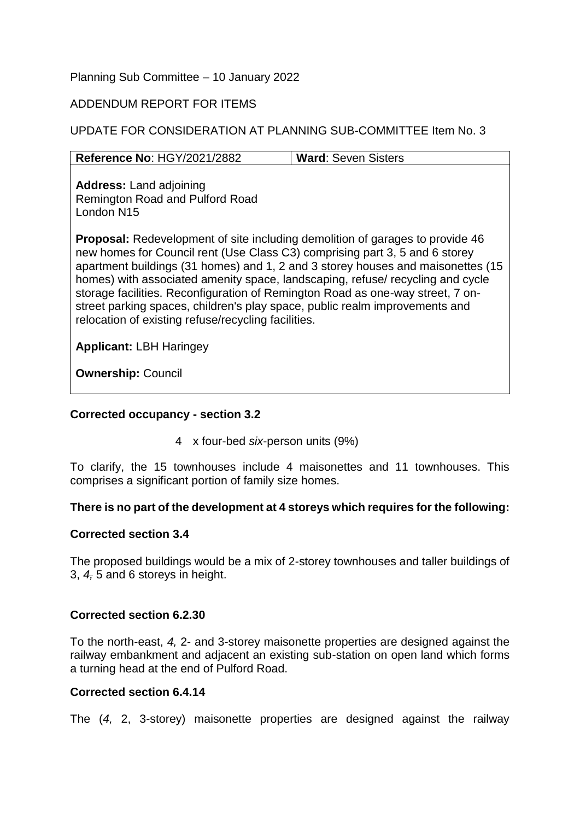## Planning Sub Committee – 10 January 2022

## ADDENDUM REPORT FOR ITEMS

## UPDATE FOR CONSIDERATION AT PLANNING SUB-COMMITTEE Item No. 3

| Reference No: HGY/2021/2882                                                                                                                                                                                                                                                                                                                                                                                                                                                                                                                                      | <b>Ward: Seven Sisters</b> |
|------------------------------------------------------------------------------------------------------------------------------------------------------------------------------------------------------------------------------------------------------------------------------------------------------------------------------------------------------------------------------------------------------------------------------------------------------------------------------------------------------------------------------------------------------------------|----------------------------|
| <b>Address: Land adjoining</b><br><b>Remington Road and Pulford Road</b><br>London N15                                                                                                                                                                                                                                                                                                                                                                                                                                                                           |                            |
| <b>Proposal:</b> Redevelopment of site including demolition of garages to provide 46<br>new homes for Council rent (Use Class C3) comprising part 3, 5 and 6 storey<br>apartment buildings (31 homes) and 1, 2 and 3 storey houses and maisonettes (15<br>homes) with associated amenity space, landscaping, refuse/ recycling and cycle<br>storage facilities. Reconfiguration of Remington Road as one-way street, 7 on-<br>street parking spaces, children's play space, public realm improvements and<br>relocation of existing refuse/recycling facilities. |                            |
| <b>Applicant: LBH Haringey</b>                                                                                                                                                                                                                                                                                                                                                                                                                                                                                                                                   |                            |
| <b>Ownership: Council</b>                                                                                                                                                                                                                                                                                                                                                                                                                                                                                                                                        |                            |

## **Corrected occupancy - section 3.2**

4 x four-bed *six*-person units (9%)

To clarify, the 15 townhouses include 4 maisonettes and 11 townhouses. This comprises a significant portion of family size homes.

## **There is no part of the development at 4 storeys which requires for the following:**

## **Corrected section 3.4**

The proposed buildings would be a mix of 2-storey townhouses and taller buildings of 3, *4,* 5 and 6 storeys in height.

## **Corrected section 6.2.30**

To the north-east, *4,* 2- and 3-storey maisonette properties are designed against the railway embankment and adjacent an existing sub-station on open land which forms a turning head at the end of Pulford Road.

## **Corrected section 6.4.14**

The (*4,* 2, 3-storey) maisonette properties are designed against the railway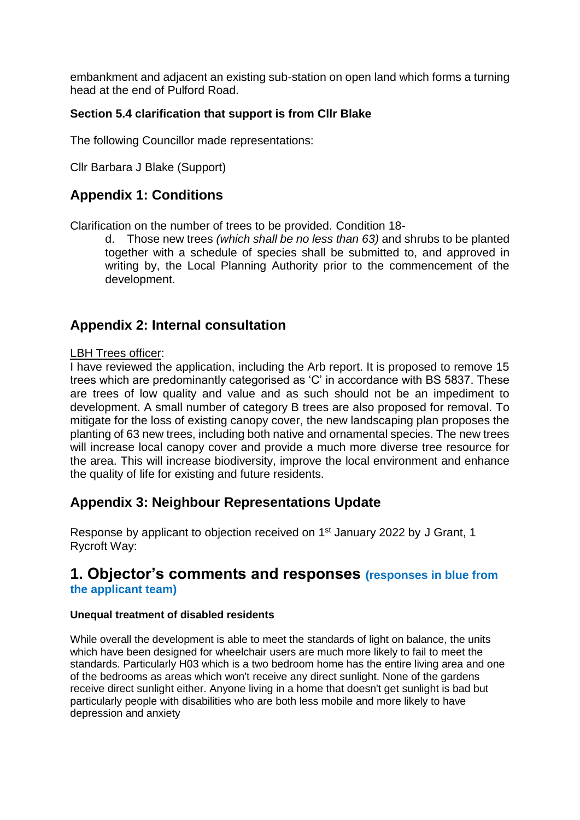embankment and adjacent an existing sub-station on open land which forms a turning head at the end of Pulford Road.

# **Section 5.4 clarification that support is from Cllr Blake**

The following Councillor made representations:

Cllr Barbara J Blake (Support)

# **Appendix 1: Conditions**

Clarification on the number of trees to be provided. Condition 18-

d. Those new trees *(which shall be no less than 63)* and shrubs to be planted together with a schedule of species shall be submitted to, and approved in writing by, the Local Planning Authority prior to the commencement of the development.

# **Appendix 2: Internal consultation**

## LBH Trees officer:

I have reviewed the application, including the Arb report. It is proposed to remove 15 trees which are predominantly categorised as 'C' in accordance with BS 5837. These are trees of low quality and value and as such should not be an impediment to development. A small number of category B trees are also proposed for removal. To mitigate for the loss of existing canopy cover, the new landscaping plan proposes the planting of 63 new trees, including both native and ornamental species. The new trees will increase local canopy cover and provide a much more diverse tree resource for the area. This will increase biodiversity, improve the local environment and enhance the quality of life for existing and future residents.

# **Appendix 3: Neighbour Representations Update**

Response by applicant to objection received on 1<sup>st</sup> January 2022 by J Grant, 1 Rycroft Way:

# **1. Objector's comments and responses (responses in blue from the applicant team)**

## **Unequal treatment of disabled residents**

While overall the development is able to meet the standards of light on balance, the units which have been designed for wheelchair users are much more likely to fail to meet the standards. Particularly H03 which is a two bedroom home has the entire living area and one of the bedrooms as areas which won't receive any direct sunlight. None of the gardens receive direct sunlight either. Anyone living in a home that doesn't get sunlight is bad but particularly people with disabilities who are both less mobile and more likely to have depression and anxiety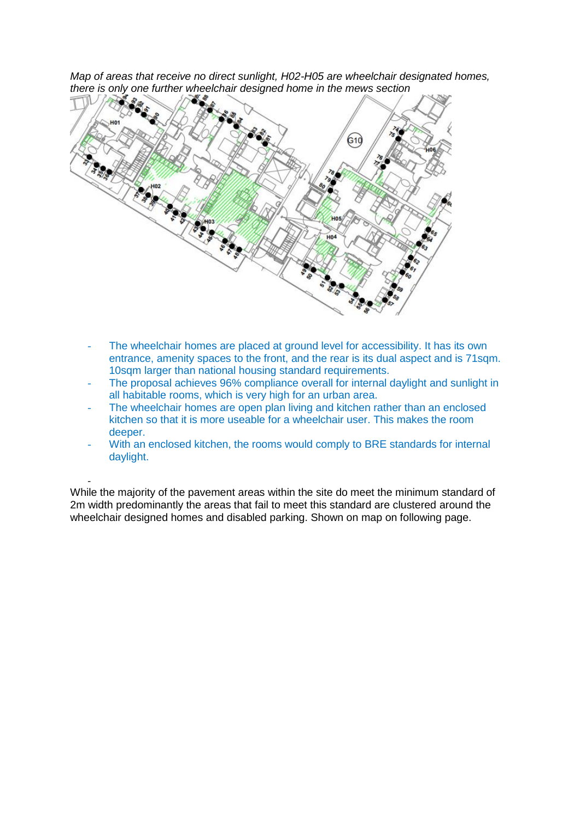*Map of areas that receive no direct sunlight, H02-H05 are wheelchair designated homes, there is only one further wheelchair designed home in the mews section*



- The wheelchair homes are placed at ground level for accessibility. It has its own entrance, amenity spaces to the front, and the rear is its dual aspect and is 71sqm. 10sqm larger than national housing standard requirements.
- The proposal achieves 96% compliance overall for internal daylight and sunlight in all habitable rooms, which is very high for an urban area.
- The wheelchair homes are open plan living and kitchen rather than an enclosed kitchen so that it is more useable for a wheelchair user. This makes the room deeper.
- With an enclosed kitchen, the rooms would comply to BRE standards for internal daylight.

While the majority of the pavement areas within the site do meet the minimum standard of 2m width predominantly the areas that fail to meet this standard are clustered around the wheelchair designed homes and disabled parking. Shown on map on following page.

-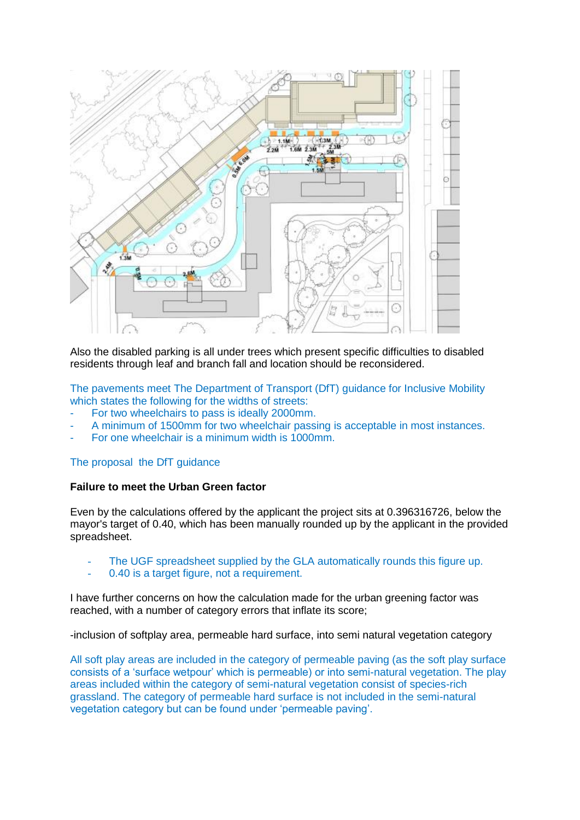

Also the disabled parking is all under trees which present specific difficulties to disabled residents through leaf and branch fall and location should be reconsidered.

The pavements meet The Department of Transport (DfT) guidance for Inclusive Mobility which states the following for the widths of streets:

- For two wheelchairs to pass is ideally 2000mm.
- A minimum of 1500mm for two wheelchair passing is acceptable in most instances.
- For one wheelchair is a minimum width is 1000mm.

### The proposal the DfT guidance

### **Failure to meet the Urban Green factor**

Even by the calculations offered by the applicant the project sits at 0.396316726, below the mayor's target of 0.40, which has been manually rounded up by the applicant in the provided spreadsheet.

- The UGF spreadsheet supplied by the GLA automatically rounds this figure up.
- 0.40 is a target figure, not a requirement.

I have further concerns on how the calculation made for the urban greening factor was reached, with a number of category errors that inflate its score;

-inclusion of softplay area, permeable hard surface, into semi natural vegetation category

All soft play areas are included in the category of permeable paving (as the soft play surface consists of a 'surface wetpour' which is permeable) or into semi-natural vegetation. The play areas included within the category of semi-natural vegetation consist of species-rich grassland. The category of permeable hard surface is not included in the semi-natural vegetation category but can be found under 'permeable paving'.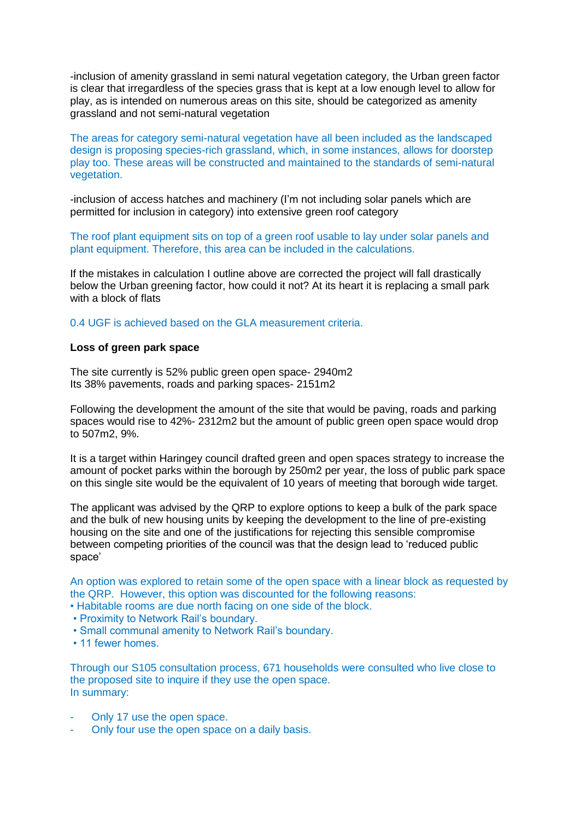-inclusion of amenity grassland in semi natural vegetation category, the Urban green factor is clear that irregardless of the species grass that is kept at a low enough level to allow for play, as is intended on numerous areas on this site, should be categorized as amenity grassland and not semi-natural vegetation

The areas for category semi-natural vegetation have all been included as the landscaped design is proposing species-rich grassland, which, in some instances, allows for doorstep play too. These areas will be constructed and maintained to the standards of semi-natural vegetation.

-inclusion of access hatches and machinery (I'm not including solar panels which are permitted for inclusion in category) into extensive green roof category

The roof plant equipment sits on top of a green roof usable to lay under solar panels and plant equipment. Therefore, this area can be included in the calculations.

If the mistakes in calculation I outline above are corrected the project will fall drastically below the Urban greening factor, how could it not? At its heart it is replacing a small park with a block of flats

0.4 UGF is achieved based on the GLA measurement criteria.

### **Loss of green park space**

The site currently is 52% public green open space- 2940m2 Its 38% pavements, roads and parking spaces- 2151m2

Following the development the amount of the site that would be paving, roads and parking spaces would rise to 42%- 2312m2 but the amount of public green open space would drop to 507m2, 9%.

It is a target within Haringey council drafted green and open spaces strategy to increase the amount of pocket parks within the borough by 250m2 per year, the loss of public park space on this single site would be the equivalent of 10 years of meeting that borough wide target.

The applicant was advised by the QRP to explore options to keep a bulk of the park space and the bulk of new housing units by keeping the development to the line of pre-existing housing on the site and one of the justifications for rejecting this sensible compromise between competing priorities of the council was that the design lead to 'reduced public space'

An option was explored to retain some of the open space with a linear block as requested by the QRP. However, this option was discounted for the following reasons:

- Habitable rooms are due north facing on one side of the block.
- Proximity to Network Rail's boundary.
- Small communal amenity to Network Rail's boundary.
- 11 fewer homes.

Through our S105 consultation process, 671 households were consulted who live close to the proposed site to inquire if they use the open space. In summary:

- Only 17 use the open space.
- Only four use the open space on a daily basis.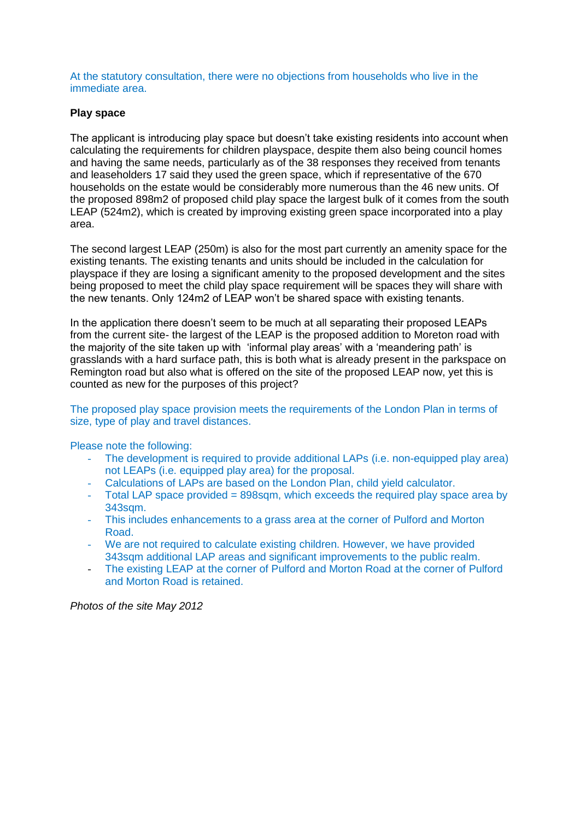At the statutory consultation, there were no objections from households who live in the immediate area.

### **Play space**

The applicant is introducing play space but doesn't take existing residents into account when calculating the requirements for children playspace, despite them also being council homes and having the same needs, particularly as of the 38 responses they received from tenants and leaseholders 17 said they used the green space, which if representative of the 670 households on the estate would be considerably more numerous than the 46 new units. Of the proposed 898m2 of proposed child play space the largest bulk of it comes from the south LEAP (524m2), which is created by improving existing green space incorporated into a play area.

The second largest LEAP (250m) is also for the most part currently an amenity space for the existing tenants. The existing tenants and units should be included in the calculation for playspace if they are losing a significant amenity to the proposed development and the sites being proposed to meet the child play space requirement will be spaces they will share with the new tenants. Only 124m2 of LEAP won't be shared space with existing tenants.

In the application there doesn't seem to be much at all separating their proposed LEAPs from the current site- the largest of the LEAP is the proposed addition to Moreton road with the majority of the site taken up with 'informal play areas' with a 'meandering path' is grasslands with a hard surface path, this is both what is already present in the parkspace on Remington road but also what is offered on the site of the proposed LEAP now, yet this is counted as new for the purposes of this project?

### The proposed play space provision meets the requirements of the London Plan in terms of size, type of play and travel distances.

Please note the following:

- The development is required to provide additional LAPs (i.e. non-equipped play area) not LEAPs (i.e. equipped play area) for the proposal.
- Calculations of LAPs are based on the London Plan, child yield calculator.
- Total LAP space provided = 898sqm, which exceeds the required play space area by 343sqm.
- This includes enhancements to a grass area at the corner of Pulford and Morton Road.
- We are not required to calculate existing children. However, we have provided 343sqm additional LAP areas and significant improvements to the public realm.
- The existing LEAP at the corner of Pulford and Morton Road at the corner of Pulford and Morton Road is retained.

*Photos of the site May 2012*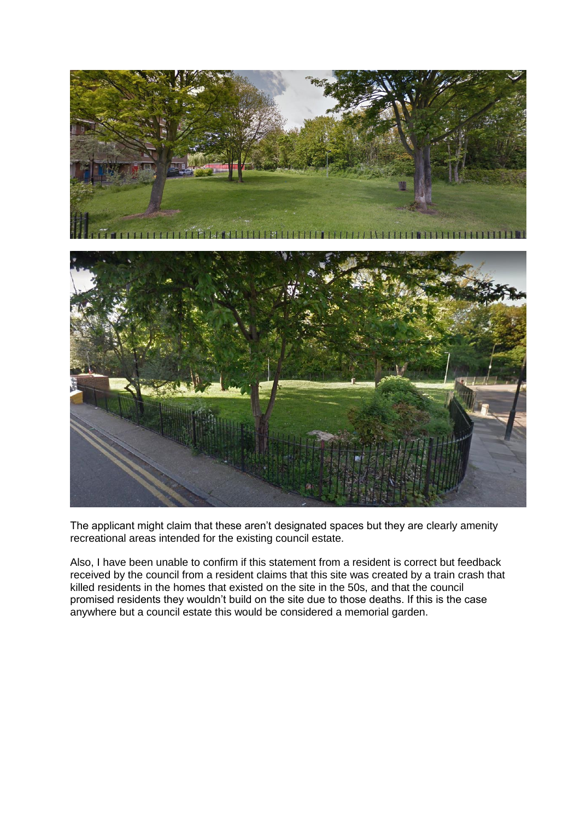

The applicant might claim that these aren't designated spaces but they are clearly amenity recreational areas intended for the existing council estate.

Also, I have been unable to confirm if this statement from a resident is correct but feedback received by the council from a resident claims that this site was created by a train crash that killed residents in the homes that existed on the site in the 50s, and that the council promised residents they wouldn't build on the site due to those deaths. If this is the case anywhere but a council estate this would be considered a memorial garden.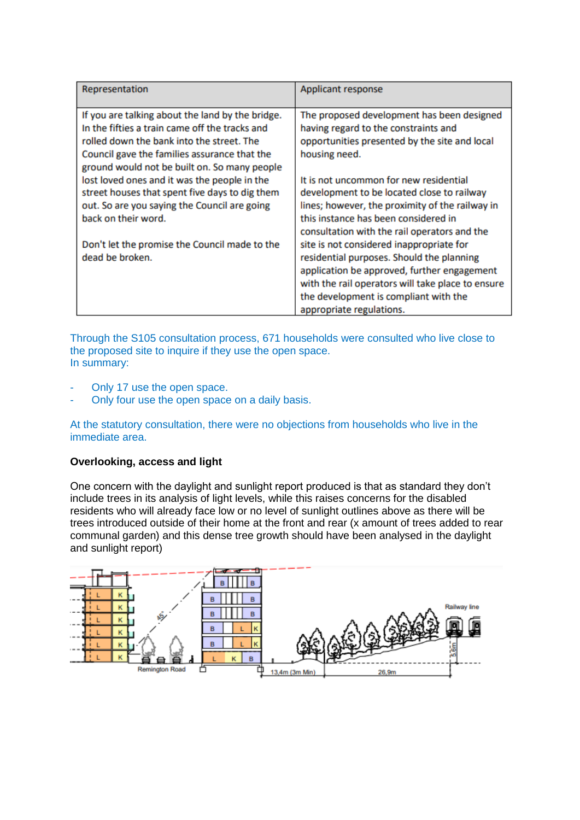| Representation                                   | Applicant response                                |
|--------------------------------------------------|---------------------------------------------------|
| If you are talking about the land by the bridge. | The proposed development has been designed        |
| In the fifties a train came off the tracks and   | having regard to the constraints and              |
| rolled down the bank into the street. The        | opportunities presented by the site and local     |
| Council gave the families assurance that the     | housing need.                                     |
| ground would not be built on. So many people     |                                                   |
| lost loved ones and it was the people in the     | It is not uncommon for new residential            |
| street houses that spent five days to dig them   | development to be located close to railway        |
| out. So are you saying the Council are going     | lines; however, the proximity of the railway in   |
| back on their word.                              | this instance has been considered in              |
|                                                  | consultation with the rail operators and the      |
| Don't let the promise the Council made to the    | site is not considered inappropriate for          |
| dead be broken.                                  | residential purposes. Should the planning         |
|                                                  | application be approved, further engagement       |
|                                                  | with the rail operators will take place to ensure |
|                                                  | the development is compliant with the             |
|                                                  | appropriate regulations.                          |

Through the S105 consultation process, 671 households were consulted who live close to the proposed site to inquire if they use the open space. In summary:

- Only 17 use the open space.
- Only four use the open space on a daily basis.

At the statutory consultation, there were no objections from households who live in the immediate area.

## **Overlooking, access and light**

One concern with the daylight and sunlight report produced is that as standard they don't include trees in its analysis of light levels, while this raises concerns for the disabled residents who will already face low or no level of sunlight outlines above as there will be trees introduced outside of their home at the front and rear (x amount of trees added to rear communal garden) and this dense tree growth should have been analysed in the daylight and sunlight report)

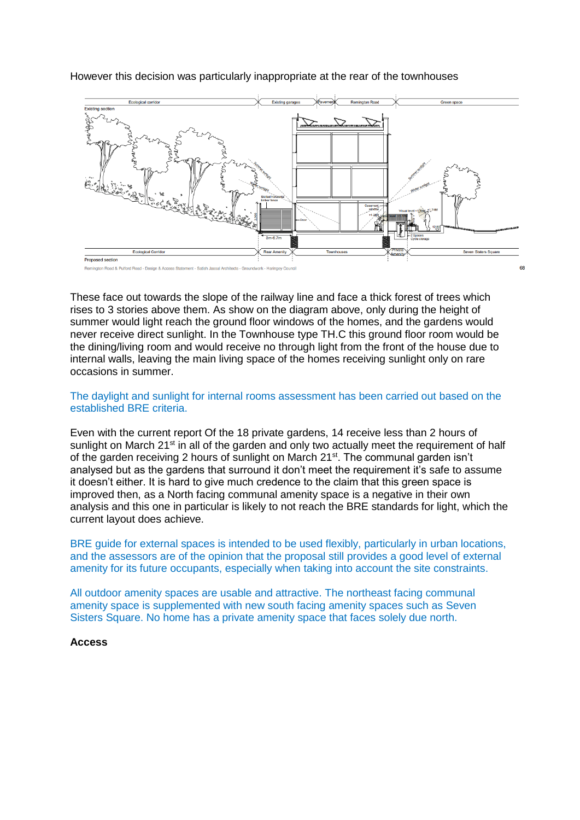

However this decision was particularly inappropriate at the rear of the townhouses

These face out towards the slope of the railway line and face a thick forest of trees which rises to 3 stories above them. As show on the diagram above, only during the height of summer would light reach the ground floor windows of the homes, and the gardens would never receive direct sunlight. In the Townhouse type TH.C this ground floor room would be the dining/living room and would receive no through light from the front of the house due to internal walls, leaving the main living space of the homes receiving sunlight only on rare occasions in summer.

### The daylight and sunlight for internal rooms assessment has been carried out based on the established BRE criteria.

Even with the current report Of the 18 private gardens, 14 receive less than 2 hours of sunlight on March  $21<sup>st</sup>$  in all of the garden and only two actually meet the requirement of half of the garden receiving 2 hours of sunlight on March 21<sup>st</sup>. The communal garden isn't analysed but as the gardens that surround it don't meet the requirement it's safe to assume it doesn't either. It is hard to give much credence to the claim that this green space is improved then, as a North facing communal amenity space is a negative in their own analysis and this one in particular is likely to not reach the BRE standards for light, which the current layout does achieve.

BRE guide for external spaces is intended to be used flexibly, particularly in urban locations, and the assessors are of the opinion that the proposal still provides a good level of external amenity for its future occupants, especially when taking into account the site constraints.

All outdoor amenity spaces are usable and attractive. The northeast facing communal amenity space is supplemented with new south facing amenity spaces such as Seven Sisters Square. No home has a private amenity space that faces solely due north.

### **Access**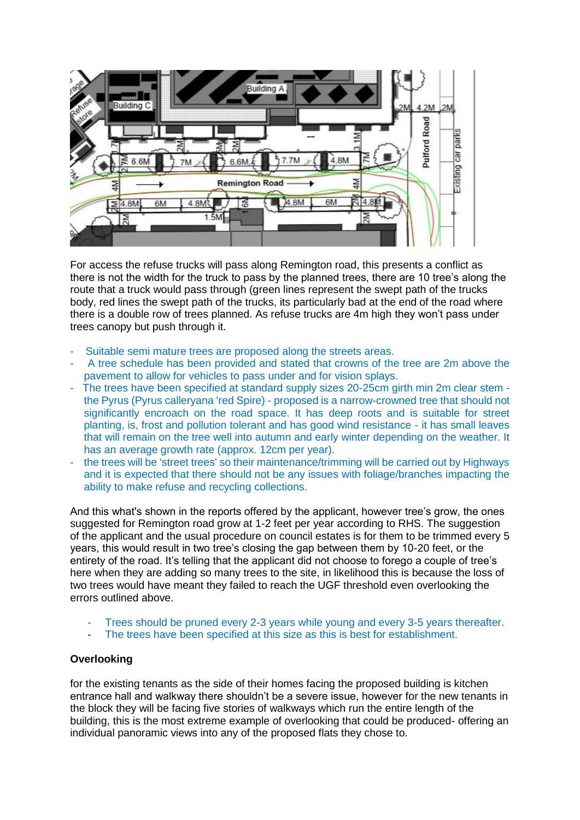

For access the refuse trucks will pass along Remington road, this presents a conflict as there is not the width for the truck to pass by the planned trees, there are 10 tree's along the route that a truck would pass through (green lines represent the swept path of the trucks body, red lines the swept path of the trucks, its particularly bad at the end of the road where there is a double row of trees planned. As refuse trucks are 4m high they won't pass under trees canopy but push through it.

- Suitable semi mature trees are proposed along the streets areas.
- A tree schedule has been provided and stated that crowns of the tree are 2m above the pavement to allow for vehicles to pass under and for vision splays.
- The trees have been specified at standard supply sizes 20-25cm girth min 2m clear stem the Pyrus (Pyrus calleryana 'red Spire) - proposed is a narrow-crowned tree that should not significantly encroach on the road space. It has deep roots and is suitable for street planting, is, frost and pollution tolerant and has good wind resistance - it has small leaves that will remain on the tree well into autumn and early winter depending on the weather. It has an average growth rate (approx. 12cm per year).
- the trees will be 'street trees' so their maintenance/trimming will be carried out by Highways and it is expected that there should not be any issues with foliage/branches impacting the ability to make refuse and recycling collections.

And this what's shown in the reports offered by the applicant, however tree's grow, the ones suggested for Remington road grow at 1-2 feet per year according to RHS. The suggestion of the applicant and the usual procedure on council estates is for them to be trimmed every 5 years, this would result in two tree's closing the gap between them by 10-20 feet, or the entirety of the road. It's telling that the applicant did not choose to forego a couple of tree's here when they are adding so many trees to the site, in likelihood this is because the loss of two trees would have meant they failed to reach the UGF threshold even overlooking the errors outlined above.

- Trees should be pruned every 2-3 years while young and every 3-5 years thereafter.
- The trees have been specified at this size as this is best for establishment.

## **Overlooking**

for the existing tenants as the side of their homes facing the proposed building is kitchen entrance hall and walkway there shouldn't be a severe issue, however for the new tenants in the block they will be facing five stories of walkways which run the entire length of the building, this is the most extreme example of overlooking that could be produced- offering an individual panoramic views into any of the proposed flats they chose to.